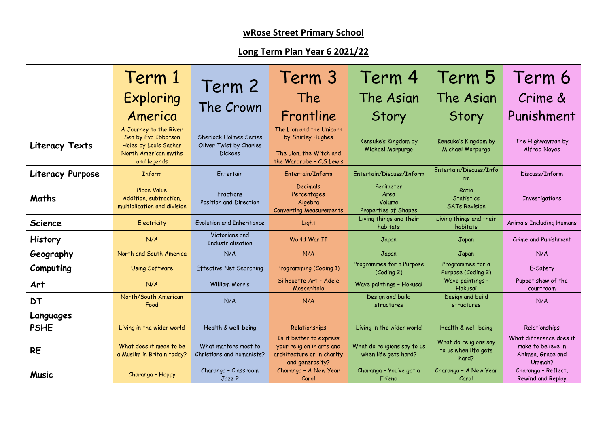## **wRose Street Primary School**

## **Long Term Plan Year 6 2021/22**

|                  | Term 1                                                                                                        |                                                                            | Term 3                                                                                                | Term 4                                              | Term 5                                                 | Term 6                                                                       |
|------------------|---------------------------------------------------------------------------------------------------------------|----------------------------------------------------------------------------|-------------------------------------------------------------------------------------------------------|-----------------------------------------------------|--------------------------------------------------------|------------------------------------------------------------------------------|
|                  | Exploring<br>America                                                                                          | Term 2<br>The Crown                                                        | The<br>Frontline                                                                                      | The Asian<br>Story                                  | The Asian<br>Story                                     | Crime &<br>Punishment                                                        |
| Literacy Texts   | A Journey to the River<br>Sea by Eva Ibbotson<br>Holes by Louis Sachar<br>North American myths<br>and legends | <b>Sherlock Holmes Series</b><br>Oliver Twist by Charles<br><b>Dickens</b> | The Lion and the Unicorn<br>by Shirley Hughes<br>The Lion, the Witch and<br>the Wardrobe - C.S Lewis  | Kensuke's Kingdom by<br>Michael Morpurgo            | Kensuke's Kingdom by<br>Michael Morpurgo               | The Highwayman by<br>Alfred Noyes                                            |
| Literacy Purpose | <b>Inform</b>                                                                                                 | Entertain                                                                  | Entertain/Inform                                                                                      | Entertain/Discuss/Inform                            | Entertain/Discuss/Info<br>rm                           | Discuss/Inform                                                               |
| Maths            | Place Value<br>Addition, subtraction,<br>multiplication and division                                          | Fractions<br>Position and Direction                                        | <b>Decimals</b><br>Percentages<br>Algebra<br><b>Converting Measurements</b>                           | Perimeter<br>Area<br>Volume<br>Properties of Shapes | Ratio<br><b>Statistics</b><br><b>SATs Revision</b>     | <b>Investigations</b>                                                        |
| <b>Science</b>   | Electricity                                                                                                   | Evolution and Inheritance                                                  | Light                                                                                                 | Living things and their<br>habitats                 | Living things and their<br>habitats                    | <b>Animals Including Humans</b>                                              |
| <b>History</b>   | N/A                                                                                                           | Victorians and<br>Industrialisation                                        | World War II                                                                                          | Japan                                               | Japan                                                  | Crime and Punishment                                                         |
| Geography        | North and South America                                                                                       | N/A                                                                        | N/A                                                                                                   | Japan                                               | Japan                                                  | N/A                                                                          |
| Computing        | <b>Using Software</b>                                                                                         | Effective Net Searching                                                    | Programming (Coding 1)                                                                                | Programmes for a Purpose<br>(Coding 2)              | Programmes for a<br>Purpose (Coding 2)                 | E-Safety                                                                     |
| Art              | N/A                                                                                                           | <b>William Morris</b>                                                      | Silhouette Art - Adele<br>Moscaritolo                                                                 | Wave paintings - Hokusai                            | Wave paintings -<br>Hokusai                            | Puppet show of the<br>courtroom                                              |
| <b>DT</b>        | North/South American<br>Food                                                                                  | N/A                                                                        | N/A                                                                                                   | Design and build<br>structures                      | Design and build<br>structures                         | N/A                                                                          |
| Languages        |                                                                                                               |                                                                            |                                                                                                       |                                                     |                                                        |                                                                              |
| <b>PSHE</b>      | Living in the wider world                                                                                     | Health & well-being                                                        | Relationships                                                                                         | Living in the wider world                           | Health & well-being                                    | Relationships                                                                |
| <b>RE</b>        | What does it mean to be<br>a Muslim in Britain today?                                                         | What matters most to<br>Christians and humanists?                          | Is it better to express<br>your religion in arts and<br>architecture or in charity<br>and generosity? | What do religions say to us<br>when life gets hard? | What do religions say<br>to us when life gets<br>hard? | What difference does it<br>make to believe in<br>Ahimsa, Grace and<br>Ummah? |
| <b>Music</b>     | Charanga - Happy                                                                                              | Charanga - Classroom<br>Jazz 2                                             | Charanga - A New Year<br>Carol                                                                        | Charanga - You've got a<br>Friend                   | Charanga - A New Year<br>Carol                         | Charanga - Reflect,<br>Rewind and Replay                                     |